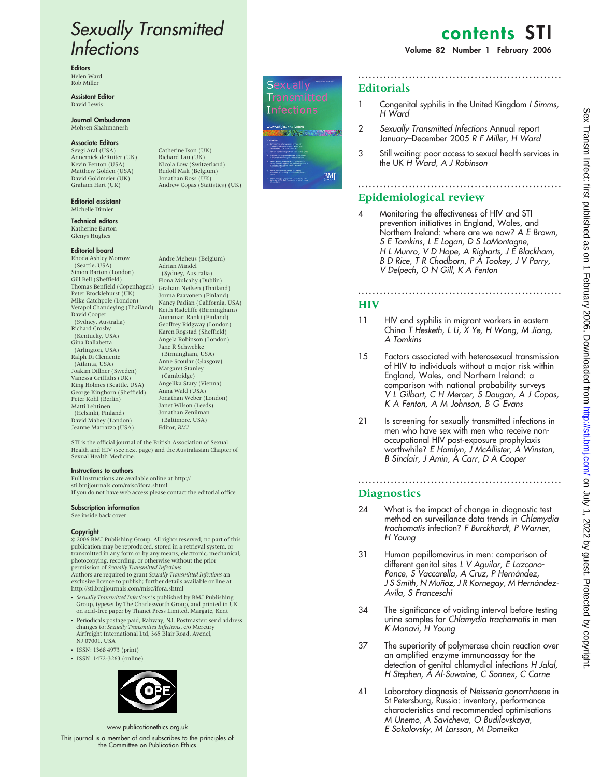# Sexually Transmitted Infections

**Editors** Helen Ward Rob Miller

Assistant Editor David Lewis

#### Journal Ombudsman Mohsen Shahmanesh

#### Associate Editors

Sevgi Aral (USA) Annemiek deRuiter (UK) Kevin Fenton (USA) Matthew Golden (USA) David Goldmeier (UK) Graham Hart (UK)

Editorial assistant Michelle Dimler

Technical editors Katherine Barton Glenys Hughes

#### Editorial board

Rhoda Ashley Morrow (Seattle, USA) Simon Barton (London) Gill Bell (Sheffield) Thomas Benfield (Copenhagen) Peter Brocklehurst (UK) Mike Catchpole (London) Verapol Chandeying (Thailand) David Cooper (Sydney, Australia) Richard Crosby (Kentucky, USA) Gina Dallabetta (Arlington, USA) Ralph Di Clemente (Atlanta, USA) Joakim Dillner (Sweden) Vanessa Griffiths (UK) King Holmes (Seattle, USA) George Kinghorn (Sheffield) Peter Kohl (Berlin) Matti Lehtinen (Helsinki, Finland) David Mabey (London) Jeanne Marrazzo (USA)

Catherine Ison (UK) Richard Lau (UK) Nicola Low (Switzerland) Rudolf Mak (Belgium) Jonathan Ross (UK) Andrew Copas (Statistics) (UK)

Andre Meheus (Belgium) Adrian Mindel (Sydney, Australia) Fiona Mulcahy (Dublin) Graham Neilsen (Thailand) Jorma Paavonen (Finland) Nancy Padian (California, USA) Keith Radcliffe (Birmingham) Annamari Ranki (Finland) Geoffrey Ridgway (London) Karen Rogstad (Sheffield) Angela Robinson (London) Jane R Schwebke (Birmingham, USA) Anne Scoular (Glasgow) Margaret Stanley (Cambridge) Angelika Stary (Vienna) Anna Wald (USA) Jonathan Weber (London) Janet Wilson (Leeds) Jonathan Zenilman (Baltimore, USA) Editor, BMJ

# **Sexually Transmitted Infections**

**BM** 

# contents ST

#### Volume 82 Number 1 February 2006

### **Editorials**

1 Congenital syphilis in the United Kingdom I Simms, H Ward

........................................................

- 2 Sexually Transmitted Infections Annual report January–December 2005 R F Miller, H Ward
- 3 Still waiting: poor access to sexual health services in the UK H Ward, A J Robinson

........................................................

# Epidemiological review

4 Monitoring the effectiveness of HIV and STI prevention initiatives in England, Wales, and Northern Ireland: where are we now ? A E Brown, S E Tomkins, L E Logan, D S LaMontagne, H L Munro, V D Hope, A Righarts, J E Blackham, B D Rice, T R Chadborn, P A Tookey, J V Parry, V Delpech, O N Gill, K A Fenton

### **HIV**

11 HIV and syphilis in migrant workers in eastern China T Hesketh, L Li, X Ye, H Wang, M Jiang, A Tomkins

........................................................

- 15 Factors associated with heterosexual transmission of HIV to individuals without a major risk within England, Wales, and Northern Ireland: a comparison with national probability surveys V L Gilbart, C H Mercer, S Dougan, A J Copas, K A Fenton, A M Johnson, B G Evans
- 21 Is screening for sexually transmitted infections in men who have sex with men who receive nonoccupational HIV post-exposure prophylaxis worthwhile ? E Hamlyn, J McAllister, A Winston, B Sinclair, J Amin, A Carr, D A Cooper

## **Diagnostics**

24 What is the impact of change in diagnostic test method on surveillance data trends in Chlamydia trachomatis infection ? F Burckhardt, P Warner, H Young

........................................................

- 31 Human papillomavirus in men: comparison of different genital sites L V Aguilar, E Lazcano-Ponce, S Vaccarella, A Cruz, P Hernández, J S Smith, N Muñoz, J R Kornegay, M Hernández-Avila, S Franceschi
- 34 The significance of voiding interval before testing urine samples for Chlamydia trachomatis in men K Manavi, H Young
- 37 The superiority of polymerase chain reaction over an amplified enzyme immunoassay for the detection of genital chlamydial infections H Jalal, H Stephen, A Al-Suwaine, C Sonnex, C Carne
- 41 Laboratory diagnosis of Neisseria gonorrhoeae in St Petersburg, Russia: inventory, performance characteristics and recommended optimisations M Unemo, A Savicheva, O Budilovskaya, E Sokolovsky, M Larsson, M Domeika

STI is the official journal of the British Association of Sexual Health and HIV (see next page) and the Australasian Chapter of Sexual Health Medicine. Instructions to authors

Full instructions are available online at http:// sti.bmjjournals.com/misc/ifora.shtml If you do not have web access please contact the editorial office

Subscription information

See inside back cover

#### Copyright

E 2006 BMJ Publishing Group. All rights reserved; no part of this publication may be reproduced, stored in a retrieval system, or transmitted in any form or by any means, electronic, mechanical, photocopying, recording, or otherwise without the prior<br>permission of Sexually Transmitted Infections

Authors are required to grant Sexually Transmitted Infections an exclusive licence to publish; further details available online at http://sti.bmjjournals.com/misc/ifora.shtml

- Sexually Transmitted Infections is published by BMJ Publishing Group, typeset by The Charlesworth Group, and printed in UK on acid-free paper by Thanet Press Limited, Margate, Kent
- Periodicals postage paid, Rahway, NJ. Postmaster: send address changes to: Sexually Transmitted Infections, c/o Mercury Airfreight International Ltd, 365 Blair Road, Avenel, NJ 07001, USA
- ISSN: 1368 4973 (print)
- ISSN: 1472-3263 (online)



www.publicationethics.org.uk This journal is a member of and subscribes to the principles of the Committee on Publication Ethics